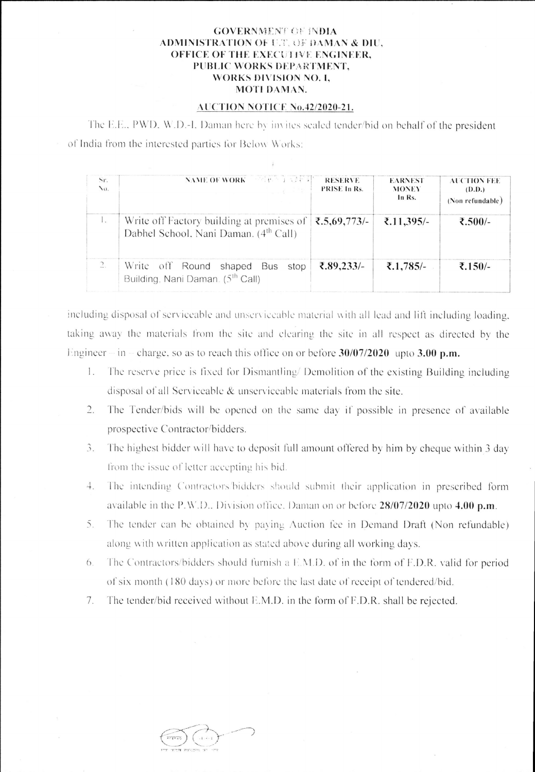## **GOVERNMENT OF INDIA ADMINISTRATION OF U.T. OF DAMAN & DIU,** OFFICE OF THE EXECUTIVE ENGINEER, PUBLIC WORKS DEPARTMENT, **WORKS DIVISION NO. I.** MOTI DAMAN.

## AUCTION NOTICE No.42/2020-21.

The E.E., PWD, W.D.-I, Daman here by invites sealed tender/bid on behalf of the president of India from the interested parties for Below Works:

| Sr.<br>$\mathcal{N}^{(1)}$ | NAME OF WORK <b>SECRET IN A FEE</b><br><b>The South State</b>                                  | <b>RESERVE</b><br>PRISE In Rs. | <b>EARNEST</b><br><b>MONEY</b><br>In Rs. | <b>AUCTION FEE</b><br>(D.D.)<br>(Non refundable) |
|----------------------------|------------------------------------------------------------------------------------------------|--------------------------------|------------------------------------------|--------------------------------------------------|
| $\mathbf{1}$               | Write off Factory building at premises of<br>Dabhel School, Nani Daman. (4 <sup>th</sup> Call) | ₹.5,69,773/-                   | ₹.11,395/-                               | ₹.500/-                                          |
| $\overline{2}$ .           | Write off Round shaped Bus stop<br>Building, Nani Daman. (5 <sup>th</sup> Call)                | ₹.89,233/-                     | ₹.1,785/-                                | ₹.150/-                                          |

including disposal of serviceable and unserviceable material with all lead and lift including loading, taking away the materials from the site and clearing the site in all respect as directed by the Engineer – in – charge, so as to reach this office on or before  $30/07/2020$  upto 3.00 p.m.

- 1. The reserve price is fixed for Dismantling/Demolition of the existing Building including disposal of all Serviceable & unserviceable materials from the site.
- $\overline{2}$ . The Tender/bids will be opened on the same day if possible in presence of available prospective Contractor/bidders.
- $3.$ The highest bidder will have to deposit full amount offered by him by cheque within 3 day from the issue of letter accepting his bid.
- The intending Contractors/bidders should submit their application in prescribed form  $4.$ available in the P.W.D.. Division office. Daman on or before 28/07/2020 upto 4.00 p.m.
- The tender can be obtained by paying Auction fee in Demand Draft (Non refundable) 5. along with written application as stated above during all working days.
- The Contractors/bidders should furnish a E.M.D. of in the form of F.D.R. valid for period 6. of six month (180 days) or more before the last date of receipt of tendered/bid.
- The tender/bid received without E.M.D. in the form of F.D.R. shall be rejected. 7.